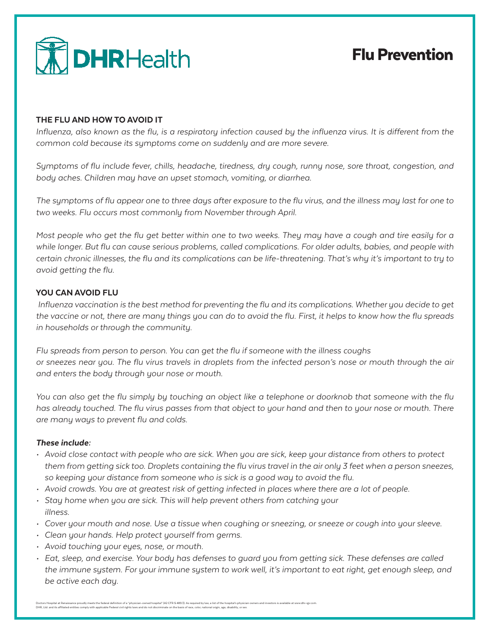

## Flu Prevention

#### THE FLU AND HOW TO AVOID IT

*Influenza, also known as the flu, is a respiratory infection caused by the influenza virus. It is different from the common cold because its symptoms come on suddenly and are more severe.*

*Symptoms of flu include fever, chills, headache, tiredness, dry cough, runny nose, sore throat, congestion, and body aches. Children may have an upset stomach, vomiting, or diarrhea.*

*The symptoms of flu appear one to three days after exposure to the flu virus, and the illness may last for one to two weeks. Flu occurs most commonly from November through April.*

*Most people who get the flu get better within one to two weeks. They may have a cough and tire easily for a while longer. But flu can cause serious problems, called complications. For older adults, babies, and people with certain chronic illnesses, the flu and its complications can be life-threatening. That's why it's important to try to avoid getting the flu.*

#### YOU CAN AVOID FLU

 *Influenza vaccination is the best method for preventing the flu and its complications. Whether you decide to get the vaccine or not, there are many things you can do to avoid the flu. First, it helps to know how the flu spreads in households or through the community.* 

*Flu spreads from person to person. You can get the flu if someone with the illness coughs or sneezes near you. The flu virus travels in droplets from the infected person's nose or mouth through the air and enters the body through your nose or mouth.*

*You can also get the flu simply by touching an object like a telephone or doorknob that someone with the flu has already touched. The flu virus passes from that object to your hand and then to your nose or mouth. There are many ways to prevent flu and colds.*

#### *These include:*

- *• Avoid close contact with people who are sick. When you are sick, keep your distance from others to protect them from getting sick too. Droplets containing the flu virus travel in the air only 3 feet when a person sneezes, so keeping your distance from someone who is sick is a good way to avoid the flu.*
- *• Avoid crowds. You are at greatest risk of getting infected in places where there are a lot of people.*
- *• Stay home when you are sick. This will help prevent others from catching your illness.*
- *• Cover your mouth and nose. Use a tissue when coughing or sneezing, or sneeze or cough into your sleeve.*
- *• Clean your hands. Help protect yourself from germs.*
- *• Avoid touching your eyes, nose, or mouth.*
- *• Eat, sleep, and exercise. Your body has defenses to guard you from getting sick. These defenses are called the immune system. For your immune system to work well, it's important to eat right, get enough sleep, and be active each day.*

Doctors Hospital at Renaissance proudly meets the federal definition of a "physician-owned hospital" (42 CFR \$ 489.3). As required by law, a list of the hospital's physician owners and investors is available at www.dhr-rgv DHR, Ltd. and its affiliated entities comply with applicable Federal civil rights laws and do not discriminate on the basis of race, color, national origin, age, disability, or sex.